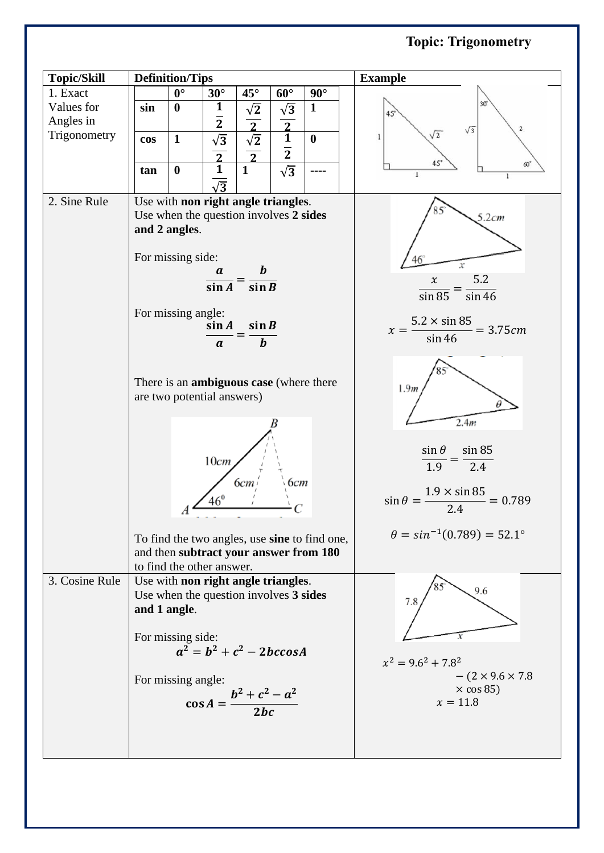## **Topic: Trigonometry**

| <b>Topic/Skill</b> |                                                                              | <b>Definition/Tips</b> |                                     |                      |                | <b>Example</b>                                                |                                       |
|--------------------|------------------------------------------------------------------------------|------------------------|-------------------------------------|----------------------|----------------|---------------------------------------------------------------|---------------------------------------|
| 1. Exact           |                                                                              | $0^{\circ}$            | $30^\circ$                          | $45^{\circ}$         | $60^\circ$     | $90^\circ$                                                    |                                       |
| Values for         | sin                                                                          | $\boldsymbol{0}$       | $\mathbf{1}$                        | $\sqrt{2}$           | $\sqrt{3}$     | $\mathbf{1}$                                                  | $30^{\circ}$<br>45                    |
| Angles in          |                                                                              |                        | $\overline{2}$                      |                      |                |                                                               | $\mathbf{2}$<br>$\sqrt{3}$            |
| Trigonometry       | cos                                                                          | $\mathbf{1}$           | $\sqrt{3}$                          | $\frac{2}{\sqrt{2}}$ | $\frac{2}{1}$  | $\bf{0}$                                                      | $\sqrt{2}$<br>1                       |
|                    |                                                                              |                        |                                     | $\overline{2}$       | $\overline{2}$ |                                                               |                                       |
|                    | tan                                                                          | $\boldsymbol{0}$       | $\frac{2}{1}$                       | 1                    | $\sqrt{3}$     |                                                               | $45^\circ$<br>ക്<br>1<br>$\mathbf{1}$ |
|                    |                                                                              |                        | $\sqrt{3}$                          |                      |                |                                                               |                                       |
| 2. Sine Rule       |                                                                              |                        | Use with non right angle triangles. |                      |                |                                                               |                                       |
|                    | Use when the question involves 2 sides                                       |                        |                                     |                      |                | 5.2cm                                                         |                                       |
|                    | and 2 angles.                                                                |                        |                                     |                      |                |                                                               |                                       |
|                    |                                                                              |                        |                                     |                      |                |                                                               |                                       |
|                    | For missing side:                                                            |                        |                                     |                      |                |                                                               | 46<br>х                               |
|                    | $\frac{a}{\sin A} = \frac{b}{\sin B}$                                        |                        |                                     |                      |                | 5.2<br>$\boldsymbol{\chi}$                                    |                                       |
|                    | For missing angle:<br>$\sin A$<br>$\sin B$<br>$\bm{b}$<br>$\boldsymbol{a}$   |                        |                                     |                      |                | sin 85<br>sin 46                                              |                                       |
|                    |                                                                              |                        |                                     |                      |                |                                                               |                                       |
|                    |                                                                              |                        |                                     |                      |                | $5.2 \times \sin 85$<br>$= 3.75 cm$<br>$x = -$                |                                       |
|                    |                                                                              |                        |                                     |                      |                | $\sin 46$                                                     |                                       |
|                    | There is an <b>ambiguous case</b> (where there<br>are two potential answers) |                        |                                     |                      |                |                                                               |                                       |
|                    |                                                                              |                        |                                     |                      |                |                                                               |                                       |
|                    |                                                                              |                        |                                     |                      |                | 1.9 <sub>m</sub>                                              |                                       |
|                    |                                                                              |                        |                                     |                      |                |                                                               |                                       |
|                    |                                                                              |                        |                                     |                      |                | 2.4m                                                          |                                       |
|                    |                                                                              | 10cm<br>6cm<br>6cm     |                                     |                      |                |                                                               |                                       |
|                    |                                                                              |                        |                                     |                      |                |                                                               | sin 85<br>$\sin \theta$               |
|                    |                                                                              |                        |                                     |                      |                |                                                               | 1.9<br>2.4                            |
|                    |                                                                              |                        |                                     |                      |                |                                                               |                                       |
|                    | $46^{\circ}$                                                                 |                        |                                     |                      |                | $\frac{1.9 \times \sin 85}{2.4} = 0.789$<br>$\sin \theta = -$ |                                       |
|                    |                                                                              |                        |                                     |                      |                |                                                               |                                       |
|                    | To find the two angles, use sine to find one,                                |                        |                                     |                      |                | $\theta = \sin^{-1}(0.789) = 52.1^{\circ}$                    |                                       |
|                    | and then subtract your answer from 180                                       |                        |                                     |                      |                |                                                               |                                       |
|                    | to find the other answer.                                                    |                        |                                     |                      |                |                                                               |                                       |
| 3. Cosine Rule     | Use with non right angle triangles.                                          |                        |                                     |                      |                |                                                               | 9.6                                   |
|                    | Use when the question involves 3 sides<br>and 1 angle.                       |                        |                                     |                      |                | 7.8                                                           |                                       |
|                    |                                                                              |                        |                                     |                      |                |                                                               |                                       |
|                    | For missing side:<br>$a^2 = b^2 + c^2 - 2bccosA$                             |                        |                                     |                      |                |                                                               |                                       |
|                    |                                                                              |                        |                                     |                      |                |                                                               |                                       |
|                    |                                                                              |                        |                                     |                      |                | $x^2 = 9.6^2 + 7.8^2$                                         |                                       |
|                    |                                                                              | For missing angle:     |                                     |                      |                | $-(2 \times 9.6 \times 7.8)$                                  |                                       |
|                    | $\cos A = \frac{b^2 + c^2 - a^2}{2bc}$                                       |                        |                                     |                      |                |                                                               | $\times$ cos 85)<br>$x = 11.8$        |
|                    |                                                                              |                        |                                     |                      |                |                                                               |                                       |
|                    |                                                                              |                        |                                     |                      |                |                                                               |                                       |
|                    |                                                                              |                        |                                     |                      |                |                                                               |                                       |
|                    |                                                                              |                        |                                     |                      |                |                                                               |                                       |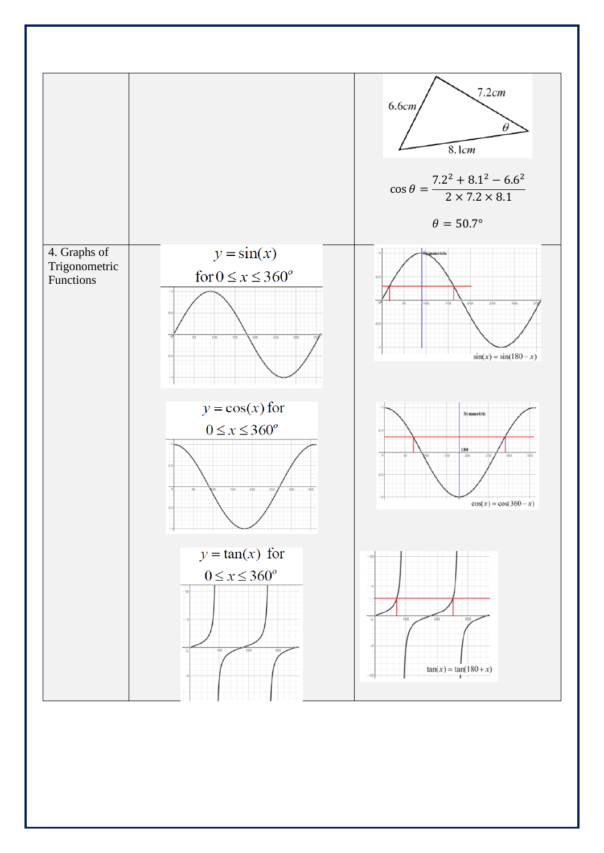